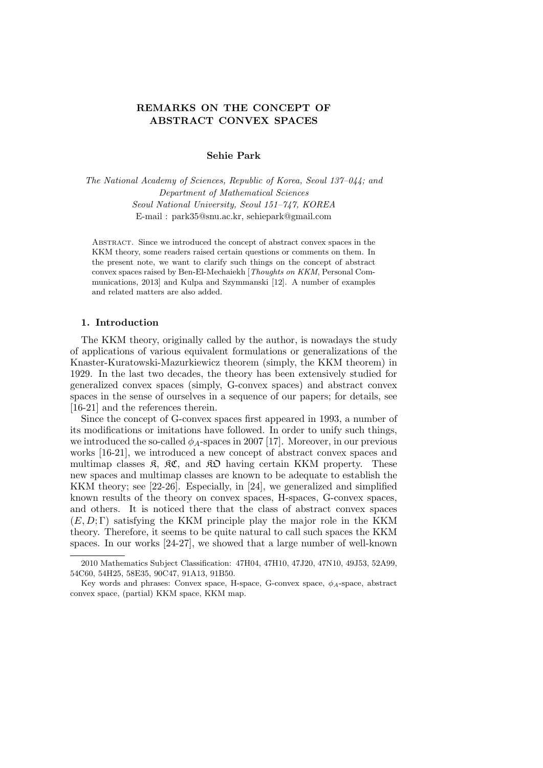# **REMARKS ON THE CONCEPT OF ABSTRACT CONVEX SPACES**

# **Sehie Park**

*The National Academy of Sciences, Republic of Korea, Seoul 137–044; and Department of Mathematical Sciences Seoul National University, Seoul 151–747, KOREA* E-mail : park35@snu.ac.kr, sehiepark@gmail.com

Abstract. Since we introduced the concept of abstract convex spaces in the KKM theory, some readers raised certain questions or comments on them. In the present note, we want to clarify such things on the concept of abstract convex spaces raised by Ben-El-Mechaiekh [*Thoughts on KKM*, Personal Communications, 2013] and Kulpa and Szymmanski [12]. A number of examples and related matters are also added.

# **1. Introduction**

The KKM theory, originally called by the author, is nowadays the study of applications of various equivalent formulations or generalizations of the Knaster-Kuratowski-Mazurkiewicz theorem (simply, the KKM theorem) in 1929. In the last two decades, the theory has been extensively studied for generalized convex spaces (simply, G-convex spaces) and abstract convex spaces in the sense of ourselves in a sequence of our papers; for details, see [16-21] and the references therein.

Since the concept of G-convex spaces first appeared in 1993, a number of its modifications or imitations have followed. In order to unify such things, we introduced the so-called  $\phi_A$ -spaces in 2007 [17]. Moreover, in our previous works [16-21], we introduced a new concept of abstract convex spaces and multimap classes  $\mathfrak{K}$ ,  $\mathfrak{K} \mathfrak{C}$ , and  $\mathfrak{K} \mathfrak{D}$  having certain KKM property. These new spaces and multimap classes are known to be adequate to establish the KKM theory; see [22-26]. Especially, in [24], we generalized and simplified known results of the theory on convex spaces, H-spaces, G-convex spaces, and others. It is noticed there that the class of abstract convex spaces  $(E, D; \Gamma)$  satisfying the KKM principle play the major role in the KKM theory. Therefore, it seems to be quite natural to call such spaces the KKM spaces. In our works [24-27], we showed that a large number of well-known

<sup>2010</sup> Mathematics Subject Classification: 47H04, 47H10, 47J20, 47N10, 49J53, 52A99, 54C60, 54H25, 58E35, 90C47, 91A13, 91B50.

Key words and phrases: Convex space, H-space, G-convex space, *ϕA*-space, abstract convex space, (partial) KKM space, KKM map.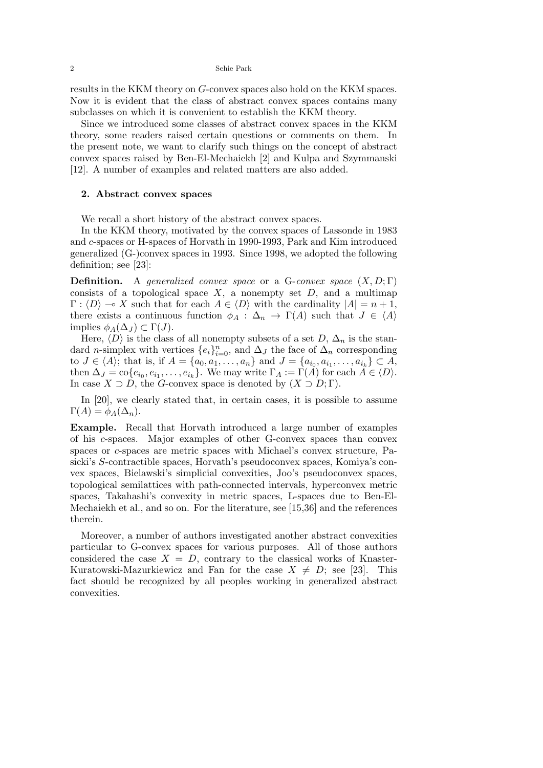results in the KKM theory on *G*-convex spaces also hold on the KKM spaces. Now it is evident that the class of abstract convex spaces contains many subclasses on which it is convenient to establish the KKM theory.

Since we introduced some classes of abstract convex spaces in the KKM theory, some readers raised certain questions or comments on them. In the present note, we want to clarify such things on the concept of abstract convex spaces raised by Ben-El-Mechaiekh [2] and Kulpa and Szymmanski [12]. A number of examples and related matters are also added.

### **2. Abstract convex spaces**

We recall a short history of the abstract convex spaces.

In the KKM theory, motivated by the convex spaces of Lassonde in 1983 and *c*-spaces or H-spaces of Horvath in 1990-1993, Park and Kim introduced generalized (G-)convex spaces in 1993. Since 1998, we adopted the following definition; see [23]:

**Definition.** A *generalized convex space* or a G-*convex space* (*X, D*; Γ) consists of a topological space  $X$ , a nonempty set  $D$ , and a multimap  $\Gamma$ :  $\langle D \rangle \rightarrow X$  such that for each  $A \in \langle D \rangle$  with the cardinality  $|A| = n + 1$ , there exists a continuous function  $\phi_A : \Delta_n \to \Gamma(A)$  such that  $J \in \langle A \rangle$ implies  $\phi_A(\Delta_I) \subset \Gamma(J)$ .

Here,  $\langle D \rangle$  is the class of all nonempty subsets of a set *D*,  $\Delta_n$  is the standard *n*-simplex with vertices  $\{e_i\}_{i=0}^n$ , and  $\Delta_J$  the face of  $\Delta_n$  corresponding to  $J \in \langle A \rangle$ ; that is, if  $A = \{a_0, a_1, ..., a_n\}$  and  $J = \{a_{i_0}, a_{i_1}, ..., a_{i_k}\} \subset A$ , then  $\Delta_J = \text{co}\{e_{i_0}, e_{i_1}, \dots, e_{i_k}\}$ . We may write  $\Gamma_A := \Gamma(A)$  for each  $A \in \langle D \rangle$ . In case  $X \supset D$ , the *G*-convex space is denoted by  $(X \supset D; \Gamma)$ .

In [20], we clearly stated that, in certain cases, it is possible to assume  $\Gamma(A) = \phi_A(\Delta_n).$ 

**Example.** Recall that Horvath introduced a large number of examples of his *c*-spaces. Major examples of other G-convex spaces than convex spaces or *c*-spaces are metric spaces with Michael's convex structure, Pasicki's *S*-contractible spaces, Horvath's pseudoconvex spaces, Komiya's convex spaces, Bielawski's simplicial convexities, Joo's pseudoconvex spaces, topological semilattices with path-connected intervals, hyperconvex metric spaces, Takahashi's convexity in metric spaces, L-spaces due to Ben-El-Mechaiekh et al., and so on. For the literature, see [15,36] and the references therein.

Moreover, a number of authors investigated another abstract convexities particular to G-convex spaces for various purposes. All of those authors considered the case  $X = D$ , contrary to the classical works of Knaster-Kuratowski-Mazurkiewicz and Fan for the case  $X \neq D$ ; see [23]. This fact should be recognized by all peoples working in generalized abstract convexities.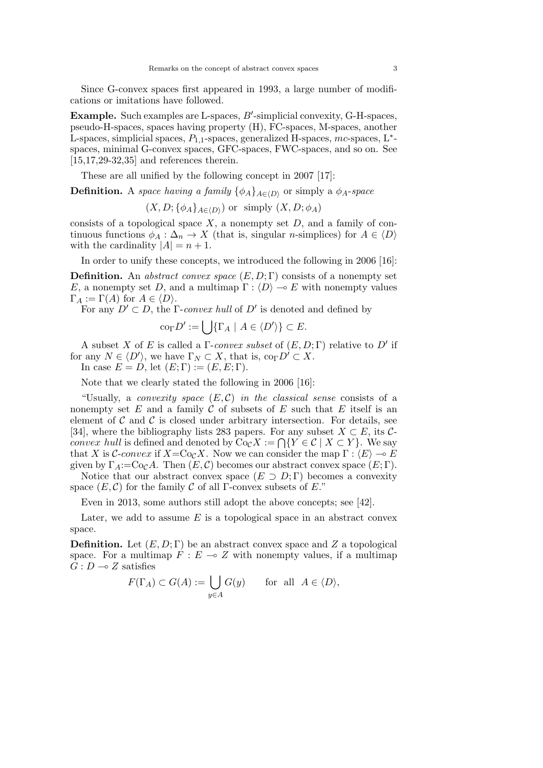Since G-convex spaces first appeared in 1993, a large number of modifications or imitations have followed.

**Example.** Such examples are L-spaces, B'-simplicial convexity, G-H-spaces, pseudo-H-spaces, spaces having property (H), FC-spaces, M-spaces, another L-spaces, simplicial spaces, *P*1*,*1-spaces, generalized H-spaces, *mc*-spaces, L*<sup>∗</sup>* spaces, minimal G-convex spaces, GFC-spaces, FWC-spaces, and so on. See  $[15, 17, 29, 32, 35]$  and references therein.

These are all unified by the following concept in 2007 [17]:

**Definition.** A *space having a family*  $\{\phi_A\}_{A \in (D)}$  or simply a  $\phi_A$ -*space* 

 $(X, D; {\phi_A}_{A \in \langle D \rangle})$  or simply  $(X, D; \phi_A)$ 

consists of a topological space  $X$ , a nonempty set  $D$ , and a family of continuous functions  $\phi_A : \Delta_n \to X$  (that is, singular *n*-simplices) for  $A \in \langle D \rangle$ with the cardinality  $|A| = n + 1$ .

In order to unify these concepts, we introduced the following in 2006 [16]:

**Definition.** An *abstract convex space* (*E, D*; Γ) consists of a nonempty set *E*, a nonempty set *D*, and a multimap  $\Gamma : \langle D \rangle \to E$  with nonempty values  $\Gamma_A := \Gamma(A)$  for  $A \in \langle D \rangle$ .

For any  $D' \subset D$ , the  $\Gamma$ -*convex hull* of  $D'$  is denoted and defined by

$$
\operatorname{co}_{\Gamma} D' := \bigcup \{ \Gamma_A \mid A \in \langle D' \rangle \} \subset E.
$$

A subset *X* of *E* is called a Γ-*convex subset* of (*E, D*; Γ) relative to *D′* if for any  $N \in \langle D' \rangle$ , we have  $\Gamma_N \subset X$ , that is,  $\text{co}_{\Gamma} D' \subset X$ .

In case  $E = D$ , let  $(E; \Gamma) := (E, E; \Gamma)$ .

Note that we clearly stated the following in 2006 [16]:

"Usually, a *convexity space*  $(E, \mathcal{C})$  *in the classical sense* consists of a nonempty set  $E$  and a family  $C$  of subsets of  $E$  such that  $E$  itself is an element of  $C$  and  $C$  is closed under arbitrary intersection. For details, see [34], where the bibliography lists 283 papers. For any subset  $X \subset E$ , its  $C$ *convex hull* is defined and denoted by  $\text{Co}_{\mathcal{C}}X := \bigcap \{Y \in \mathcal{C} \mid X \subset Y\}$ . We say that *X* is *C*-*convex* if  $X = \text{Co}_\mathcal{C} X$ . Now we can consider the map  $\Gamma : \langle E \rangle \to E$ given by  $\Gamma_A := \text{Co}_\mathcal{C} A$ . Then  $(E, \mathcal{C})$  becomes our abstract convex space  $(E; \Gamma)$ .

Notice that our abstract convex space  $(E \supset D; \Gamma)$  becomes a convexity space  $(E, \mathcal{C})$  for the family  $\mathcal C$  of all  $\Gamma$ -convex subsets of  $E$ ."

Even in 2013, some authors still adopt the above concepts; see [42].

Later, we add to assume *E* is a topological space in an abstract convex space.

**Definition.** Let  $(E, D; \Gamma)$  be an abstract convex space and *Z* a topological space. For a multimap  $F: E \multimap Z$  with nonempty values, if a multimap  $G: D \longrightarrow Z$  satisfies

$$
F(\Gamma_A) \subset G(A) := \bigcup_{y \in A} G(y) \quad \text{for all } A \in \langle D \rangle,
$$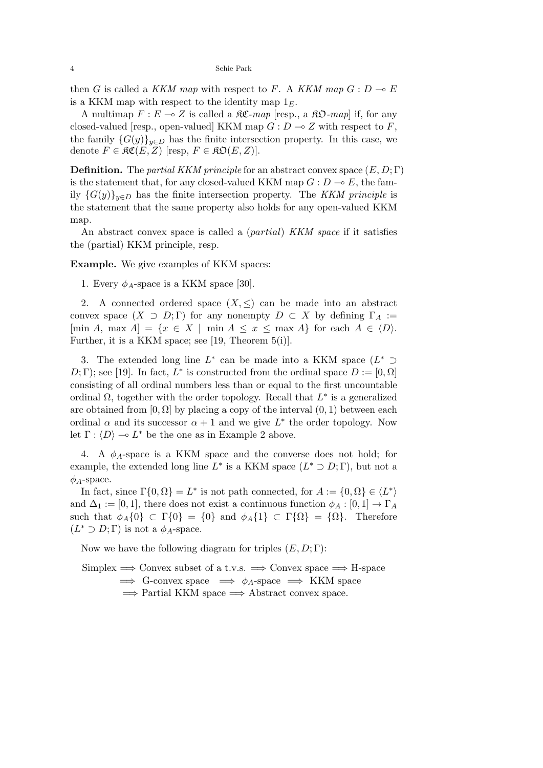then *G* is called a *KKM map* with respect to *F*. A *KKM map*  $G: D \to E$ is a KKM map with respect to the identity map  $1_F$ .

A multimap  $F: E \to Z$  is called a  $\mathcal{RC}$ *-map* [resp., a  $\mathcal{RD}$ *-map*] if, for any closed-valued [resp., open-valued] KKM map  $G: D \to Z$  with respect to *F*, the family  ${G(y)}_{y \in D}$  has the finite intersection property. In this case, we denote  $F \in \mathfrak{RC}(E, Z)$  [resp,  $F \in \mathfrak{RD}(E, Z)$ ].

**Definition.** The *partial KKM principle* for an abstract convex space (*E, D*; Γ) is the statement that, for any closed-valued KKM map  $G : D \to E$ , the family  ${G(y)}_{y \in D}$  has the finite intersection property. The *KKM principle* is the statement that the same property also holds for any open-valued KKM map.

An abstract convex space is called a (*partial*) *KKM space* if it satisfies the (partial) KKM principle, resp.

**Example.** We give examples of KKM spaces:

1. Every  $\phi_A$ -space is a KKM space [30].

2. A connected ordered space  $(X, \leq)$  can be made into an abstract convex space  $(X \supset D; \Gamma)$  for any nonempty  $D \subset X$  by defining  $\Gamma_A :=$  $[\min A, \max A] = \{x \in X \mid \min A \le x \le \max A\}$  for each  $A \in \langle D \rangle$ . Further, it is a KKM space; see [19, Theorem 5(i)].

3. The extended long line *L ∗* can be made into a KKM space (*L ∗ ⊃ D*; *C*); see [19]. In fact, *L*<sup>\*</sup> is constructed from the ordinal space  $D := [0, \Omega]$ consisting of all ordinal numbers less than or equal to the first uncountable ordinal Ω, together with the order topology. Recall that *L ∗* is a generalized arc obtained from  $[0, \Omega]$  by placing a copy of the interval  $(0, 1)$  between each ordinal  $\alpha$  and its successor  $\alpha + 1$  and we give  $L^*$  the order topology. Now let  $\Gamma : \langle D \rangle \longrightarrow L^*$  be the one as in Example 2 above.

4. A *ϕA*-space is a KKM space and the converse does not hold; for example, the extended long line  $L^*$  is a KKM space  $(L^* \supset D; \Gamma)$ , but not a *ϕA*-space.

In fact, since  $\Gamma\{0, \Omega\} = L^*$  is not path connected, for  $A := \{0, \Omega\} \in \langle L^* \rangle$ and  $\Delta_1 := [0, 1]$ , there does not exist a continuous function  $\phi_A : [0, 1] \to \Gamma_A$ such that  $\phi_A\{0\} \subset \Gamma\{0\} = \{0\}$  and  $\phi_A\{1\} \subset \Gamma\{\Omega\} = \{\Omega\}$ . Therefore  $(L^* \supset D; \Gamma)$  is not a  $\phi_A$ -space.

Now we have the following diagram for triples (*E, D*; Γ):

Simplex =*⇒* Convex subset of a t.v.s. =*⇒* Convex space =*⇒* H-space  $\implies$  G-convex space  $\implies \phi_A$ -space  $\implies$  KKM space =*⇒* Partial KKM space =*⇒* Abstract convex space.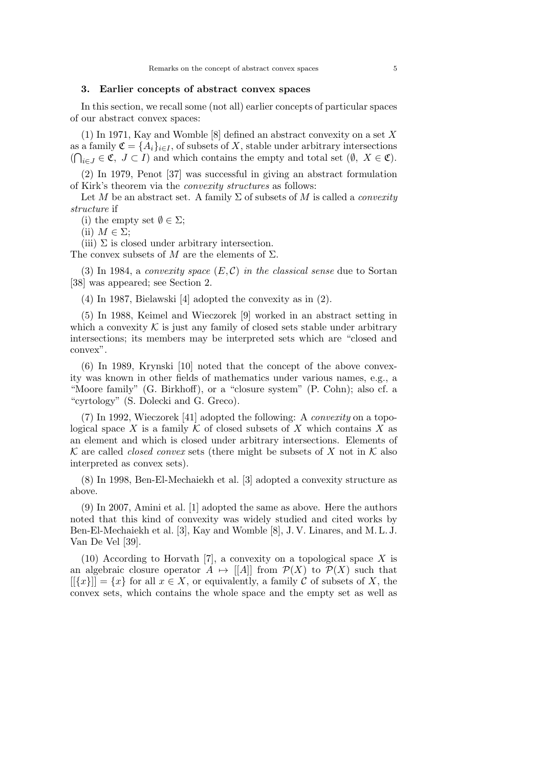#### **3. Earlier concepts of abstract convex spaces**

In this section, we recall some (not all) earlier concepts of particular spaces of our abstract convex spaces:

(1) In 1971, Kay and Womble [8] defined an abstract convexity on a set *X* as a family  $\mathfrak{C} = \{A_i\}_{i \in I}$ , of subsets of *X*, stable under arbitrary intersections  $(∩<sub>i∈J</sub> ∈ **C**, J ⊂ I)$  and which contains the empty and total set  $(Ø, X ∈ **C**)$ .

(2) In 1979, Penot [37] was successful in giving an abstract formulation of Kirk's theorem via the *convexity structures* as follows:

Let *M* be an abstract set. A family  $\Sigma$  of subsets of *M* is called a *convexity structure* if

(i) the empty set  $\emptyset \in \Sigma$ ;

 $(iii)$  *M*  $\in \Sigma$ ;

(iii)  $\Sigma$  is closed under arbitrary intersection.

The convex subsets of  $M$  are the elements of  $\Sigma$ .

(3) In 1984, a *convexity space* (*E, C*) *in the classical sense* due to Sortan [38] was appeared; see Section 2.

(4) In 1987, Bielawski [4] adopted the convexity as in (2).

(5) In 1988, Keimel and Wieczorek [9] worked in an abstract setting in which a convexity  $K$  is just any family of closed sets stable under arbitrary intersections; its members may be interpreted sets which are "closed and convex".

(6) In 1989, Krynski [10] noted that the concept of the above convexity was known in other fields of mathematics under various names, e.g., a "Moore family" (G. Birkhoff), or a "closure system" (P. Cohn); also cf. a "cyrtology" (S. Dolecki and G. Greco).

(7) In 1992, Wieczorek [41] adopted the following: A *convexity* on a topological space *X* is a family  $K$  of closed subsets of *X* which contains *X* as an element and which is closed under arbitrary intersections. Elements of  $K$  are called *closed convex* sets (there might be subsets of *X* not in  $K$  also interpreted as convex sets).

(8) In 1998, Ben-El-Mechaiekh et al. [3] adopted a convexity structure as above.

(9) In 2007, Amini et al. [1] adopted the same as above. Here the authors noted that this kind of convexity was widely studied and cited works by Ben-El-Mechaiekh et al. [3], Kay and Womble [8], J. V. Linares, and M. L. J. Van De Vel [39].

(10) According to Horvath [7], a convexity on a topological space *X* is an algebraic closure operator  $A \mapsto |[A]|$  from  $\mathcal{P}(X)$  to  $\mathcal{P}(X)$  such that  $[[\{x\}] = \{x\}$  for all  $x \in X$ , or equivalently, a family C of subsets of X, the convex sets, which contains the whole space and the empty set as well as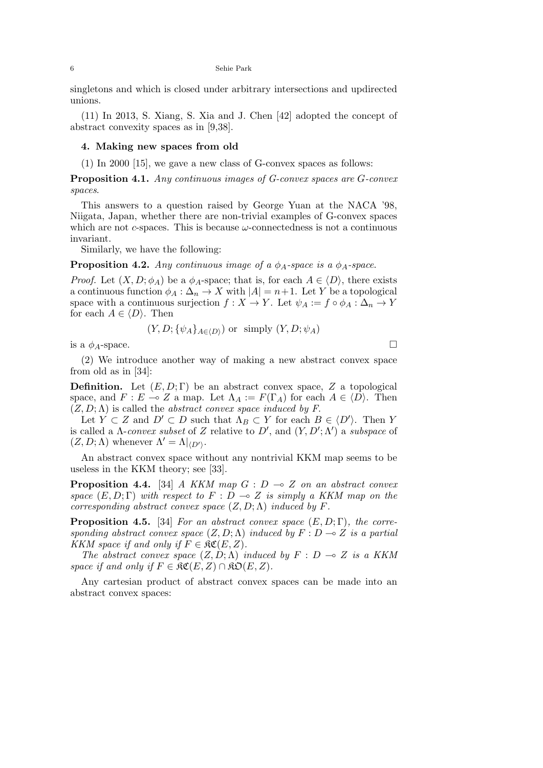singletons and which is closed under arbitrary intersections and updirected unions.

(11) In 2013, S. Xiang, S. Xia and J. Chen [42] adopted the concept of abstract convexity spaces as in [9,38].

## **4. Making new spaces from old**

(1) In 2000 [15], we gave a new class of G-convex spaces as follows:

**Proposition 4.1.** *Any continuous images of G-convex spaces are G-convex spaces*.

This answers to a question raised by George Yuan at the NACA '98, Niigata, Japan, whether there are non-trivial examples of G-convex spaces which are not *c*-spaces. This is because *ω*-connectedness is not a continuous invariant.

Similarly, we have the following:

**Proposition 4.2.** *Any continuous image of a*  $\phi$ <sub>*A*</sub>*-space is a*  $\phi$ <sub>*A*</sub>*-space.* 

*Proof.* Let  $(X, D; \phi_A)$  be a  $\phi_A$ -space; that is, for each  $A \in \langle D \rangle$ , there exists a continuous function  $\phi_A : \Delta_n \to X$  with  $|A| = n+1$ . Let *Y* be a topological space with a continuous surjection  $f: X \to Y$ . Let  $\psi_A := f \circ \phi_A : \Delta_n \to Y$ for each  $A \in \langle D \rangle$ . Then

$$
(Y, D; \{\psi_A\}_{A \in \langle D \rangle})
$$
 or simply  $(Y, D; \psi_A)$ 

is a  $\phi$ <sub>*A*</sub>-space.

(2) We introduce another way of making a new abstract convex space from old as in [34]:

**Definition.** Let  $(E, D; \Gamma)$  be an abstract convex space, *Z* a topological space, and  $F: E \to Z$  a map. Let  $\Lambda_A := F(\Gamma_A)$  for each  $A \in \langle D \rangle$ . Then  $(Z, D; \Lambda)$  is called the *abstract convex space induced by F*.

Let  $Y \subset Z$  and  $D' \subset D$  such that  $\Lambda_B \subset Y$  for each  $B \in \langle D' \rangle$ . Then *Y* is called a Λ-*convex subset* of *Z* relative to *D′* , and (*Y, D′* ; Λ*′* ) a *subspace* of  $(Z, D; \Lambda)$  whenever  $\Lambda' = \Lambda|_{\langle D' \rangle}$ .

An abstract convex space without any nontrivial KKM map seems to be useless in the KKM theory; see [33].

**Proposition 4.4.** [34] *A KKM map*  $G : D \rightarrow Z$  *on an abstract convex space*  $(E, D; \Gamma)$  *with respect to*  $F : D \to Z$  *is simply a KKM map on the corresponding abstract convex space*  $(Z, D; \Lambda)$  *induced by*  $F$ *.* 

**Proposition 4.5.** [34] *For an abstract convex space* (*E, D*; Γ)*, the corresponding abstract convex space*  $(Z, D; \Lambda)$  *induced by*  $F : D \to Z$  *is a partial KKM space if and only if*  $F \in \mathfrak{RC}(E, Z)$ *.* 

*The abstract convex space*  $(Z, D; \Lambda)$  *induced by*  $F : D \to Z$  *is a KKM space if and only if*  $F \in \mathfrak{RC}(E, Z) \cap \mathfrak{RO}(E, Z)$ .

Any cartesian product of abstract convex spaces can be made into an abstract convex spaces: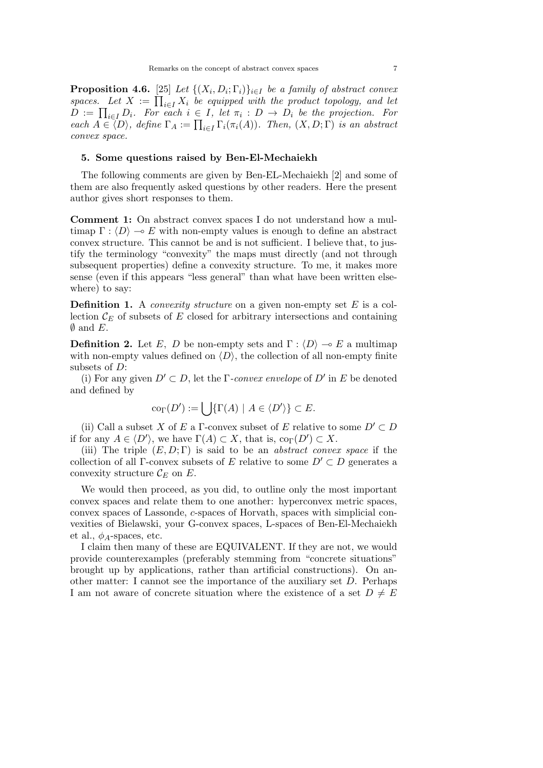**Proposition 4.6.** [25] *Let*  $\{(X_i, D_i; \Gamma_i)\}_{i \in I}$  *be a family of abstract convex* spaces. Let  $X := \prod_{i \in I} X_i$  be equipped with the product topology, and let  $D := \prod_{i \in I} D_i$ . For each  $i \in I$ , let  $\pi_i : D \to D_i$  be the projection. For  $\overline{P}(A \subseteq \overline{\langle D \rangle})$ , define  $\Gamma_A := \prod_{i \in I} \Gamma_i(\pi_i(A))$ *. Then,*  $(X, D; \Gamma)$  *is an abstract convex space.*

#### **5. Some questions raised by Ben-El-Mechaiekh**

The following comments are given by Ben-EL-Mechaiekh [2] and some of them are also frequently asked questions by other readers. Here the present author gives short responses to them.

**Comment 1:** On abstract convex spaces I do not understand how a multimap  $\Gamma : \langle D \rangle \to E$  with non-empty values is enough to define an abstract convex structure. This cannot be and is not sufficient. I believe that, to justify the terminology "convexity" the maps must directly (and not through subsequent properties) define a convexity structure. To me, it makes more sense (even if this appears "less general" than what have been written elsewhere) to say:

**Definition 1.** A *convexity structure* on a given non-empty set *E* is a collection  $\mathcal{C}_E$  of subsets of  $E$  closed for arbitrary intersections and containing *∅* and *E*.

**Definition 2.** Let *E*, *D* be non-empty sets and  $\Gamma$  :  $\langle D \rangle \sim E$  a multimap with non-empty values defined on  $\langle D \rangle$ , the collection of all non-empty finite subsets of *D*:

(i) For any given  $D' \subset D$ , let the  $\Gamma$ -convex envelope of  $D'$  in  $E$  be denoted and defined by

$$
\text{co}_{\Gamma}(D') := \bigcup \{\Gamma(A) \mid A \in \langle D' \rangle\} \subset E.
$$

(ii) Call a subset *X* of *E* a  $\Gamma$ -convex subset of *E* relative to some  $D' \subset D$ if for any  $A \in \langle D' \rangle$ , we have  $\Gamma(A) \subset X$ , that is,  $\text{co}_{\Gamma}(D') \subset X$ .

(iii) The triple (*E, D*; Γ) is said to be an *abstract convex space* if the collection of all Γ-convex subsets of *E* relative to some  $D' \subset D$  generates a convexity structure  $\mathcal{C}_E$  on  $E$ .

We would then proceed, as you did, to outline only the most important convex spaces and relate them to one another: hyperconvex metric spaces, convex spaces of Lassonde, *c*-spaces of Horvath, spaces with simplicial convexities of Bielawski, your G-convex spaces, L-spaces of Ben-El-Mechaiekh et al.,  $\phi_A$ -spaces, etc.

I claim then many of these are EQUIVALENT. If they are not, we would provide counterexamples (preferably stemming from "concrete situations" brought up by applications, rather than artificial constructions). On another matter: I cannot see the importance of the auxiliary set *D*. Perhaps I am not aware of concrete situation where the existence of a set  $D \neq E$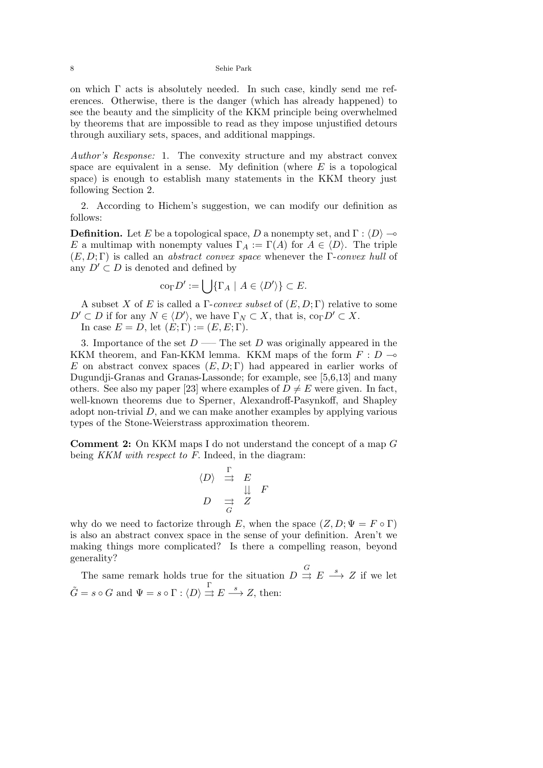on which  $\Gamma$  acts is absolutely needed. In such case, kindly send me references. Otherwise, there is the danger (which has already happened) to see the beauty and the simplicity of the KKM principle being overwhelmed by theorems that are impossible to read as they impose unjustified detours through auxiliary sets, spaces, and additional mappings.

*Author's Response:* 1. The convexity structure and my abstract convex space are equivalent in a sense. My definition (where *E* is a topological space) is enough to establish many statements in the KKM theory just following Section 2.

2. According to Hichem's suggestion, we can modify our definition as follows:

**Definition.** Let *E* be a topological space, *D* a nonempty set, and  $\Gamma : \langle D \rangle \rightarrow$ *E* a multimap with nonempty values  $\Gamma_A := \Gamma(A)$  for  $A \in \langle D \rangle$ . The triple (*E, D*; Γ) is called an *abstract convex space* whenever the Γ-*convex hull* of any  $D' \subset D$  is denoted and defined by

$$
\mathrm{co}_{\Gamma}D':=\bigcup\{\Gamma_A\ |\ A\in\langle D'\rangle\}\subset E.
$$

A subset *X* of *E* is called a Γ-*convex subset* of (*E, D*; Γ) relative to some  $D' \subset D$  if for any  $N \in \langle D' \rangle$ , we have  $\Gamma_N \subset X$ , that is,  $\text{co}_{\Gamma} D' \subset X$ . In case  $E = D$ , let  $(E; \Gamma) := (E, E; \Gamma)$ .

3. Importance of the set  $D$  —– The set  $D$  was originally appeared in the KKM theorem, and Fan-KKM lemma. KKM maps of the form  $F: D \rightarrow$ *E* on abstract convex spaces (*E, D*; Γ) had appeared in earlier works of Dugundji-Granas and Granas-Lassonde; for example, see [5,6,13] and many others. See also my paper [23] where examples of  $D \neq E$  were given. In fact, well-known theorems due to Sperner, Alexandroff-Pasynkoff, and Shapley adopt non-trivial *D*, and we can make another examples by applying various types of the Stone-Weierstrass approximation theorem.

**Comment 2:** On KKM maps I do not understand the concept of a map *G* being *KKM with respect to F.* Indeed, in the diagram:

$$
\begin{array}{rcl}\n\langle D \rangle & \stackrel{\Gamma}{\rightrightarrows} & E \\
\downarrow & & \downarrow \downarrow & F \\
D & \stackrel{\rightrightarrows}{\rightrightarrows} & Z\n\end{array}
$$

why do we need to factorize through *E*, when the space  $(Z, D; \Psi = F \circ \Gamma)$ is also an abstract convex space in the sense of your definition. Aren't we making things more complicated? Is there a compelling reason, beyond generality?

The same remark holds true for the situation  $D \stackrel{G}{\rightrightarrows} E \stackrel{s}{\rightharpoonup} Z$  if we let  $\tilde{G} = s \circ G$  and  $\Psi = s \circ \Gamma : \langle D \rangle \stackrel{\Gamma}{\Rightarrow} E \stackrel{s}{\longrightarrow} Z$ , then: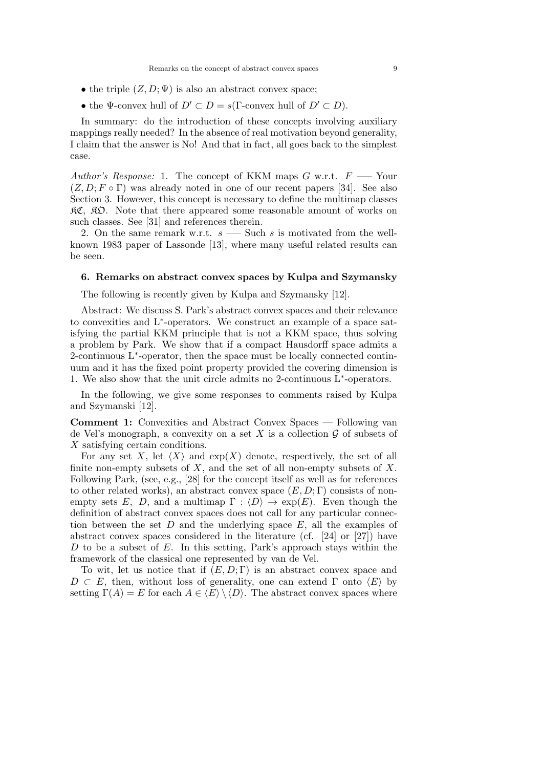- the triple  $(Z, D; \Psi)$  is also an abstract convex space:
- the  $\Psi$ -convex hull of  $D' \subset D = s(\Gamma$ -convex hull of  $D' \subset D$ ).

In summary: do the introduction of these concepts involving auxiliary mappings really needed? In the absence of real motivation beyond generality, I claim that the answer is No! And that in fact, all goes back to the simplest case.

*Author's Response:* 1. The concept of KKM maps *G* w.r.t. *F* —– Your  $(Z, D; F \circ \Gamma)$  was already noted in one of our recent papers [34]. See also Section 3. However, this concept is necessary to define the multimap classes RC, RO. Note that there appeared some reasonable amount of works on such classes. See [31] and references therein.

2. On the same remark w.r.t. *s* —– Such *s* is motivated from the wellknown 1983 paper of Lassonde [13], where many useful related results can be seen.

# **6. Remarks on abstract convex spaces by Kulpa and Szymansky**

The following is recently given by Kulpa and Szymansky [12].

Abstract: We discuss S. Park's abstract convex spaces and their relevance to convexities and L*∗* -operators. We construct an example of a space satisfying the partial KKM principle that is not a KKM space, thus solving a problem by Park. We show that if a compact Hausdorff space admits a 2-continuous L<sup>∗</sup>-operator, then the space must be locally connected continuum and it has the fixed point property provided the covering dimension is 1. We also show that the unit circle admits no 2-continuous L*∗* -operators.

In the following, we give some responses to comments raised by Kulpa and Szymanski [12].

**Comment 1:** Convexities and Abstract Convex Spaces — Following van de Vel's monograph, a convexity on a set  $X$  is a collection  $\mathcal G$  of subsets of *X* satisfying certain conditions.

For any set *X*, let  $\langle X \rangle$  and  $exp(X)$  denote, respectively, the set of all finite non-empty subsets of *X*, and the set of all non-empty subsets of *X*. Following Park, (see, e.g., [28] for the concept itself as well as for references to other related works), an abstract convex space  $(E, D; \Gamma)$  consists of nonempty sets *E*, *D*, and a multimap  $\Gamma : \langle D \rangle \to \exp(E)$ . Even though the definition of abstract convex spaces does not call for any particular connection between the set *D* and the underlying space *E*, all the examples of abstract convex spaces considered in the literature (cf. [24] or [27]) have *D* to be a subset of *E*. In this setting, Park's approach stays within the framework of the classical one represented by van de Vel.

To wit, let us notice that if  $(E, D; \Gamma)$  is an abstract convex space and  $D \subset E$ , then, without loss of generality, one can extend  $\Gamma$  onto  $\langle E \rangle$  by setting  $\Gamma(A) = E$  for each  $A \in \langle E \rangle \setminus \langle D \rangle$ . The abstract convex spaces where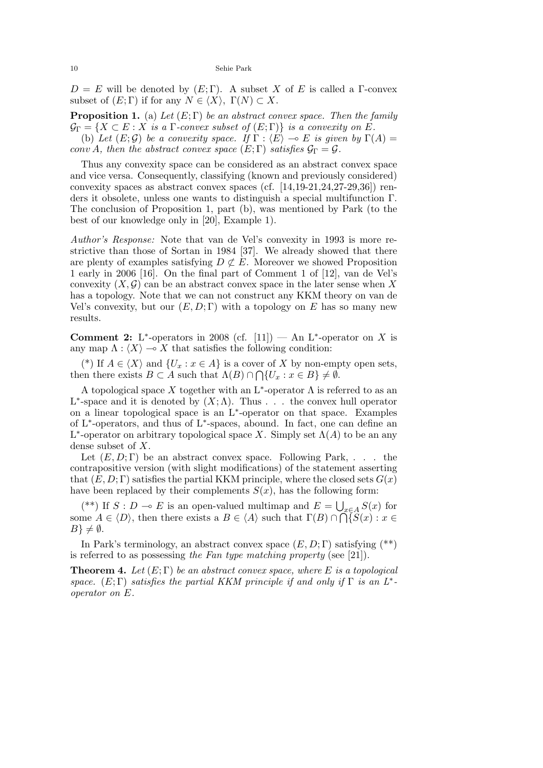$D = E$  will be denoted by  $(E:\Gamma)$ . A subset *X* of *E* is called a Γ-convex subset of  $(E; \Gamma)$  if for any  $N \in \langle X \rangle$ ,  $\Gamma(N) \subset X$ .

**Proposition 1.** (a) *Let* (*E*; Γ) *be an abstract convex space. Then the family*  $\mathcal{G}_{\Gamma} = \{ X \subset E : X \text{ is a } \Gamma\text{-convex subset of } (E; \Gamma) \}$  is a convexity on  $E$ .

(b) Let  $(E; \mathcal{G})$  be a convexity space. If  $\Gamma : \langle E \rangle \to E$  is given by  $\Gamma(A) =$ *conv A, then the abstract convex space*  $(E; \Gamma)$  *satisfies*  $\mathcal{G}_{\Gamma} = \mathcal{G}$ *.* 

Thus any convexity space can be considered as an abstract convex space and vice versa. Consequently, classifying (known and previously considered) convexity spaces as abstract convex spaces (cf. [14,19-21,24,27-29,36]) renders it obsolete, unless one wants to distinguish a special multifunction Γ. The conclusion of Proposition 1, part (b), was mentioned by Park (to the best of our knowledge only in [20], Example 1).

*Author's Response:* Note that van de Vel's convexity in 1993 is more restrictive than those of Sortan in 1984 [37]. We already showed that there are plenty of examples satisfying  $D \not\subset E$ . Moreover we showed Proposition 1 early in 2006 [16]. On the final part of Comment 1 of [12], van de Vel's convexity  $(X, \mathcal{G})$  can be an abstract convex space in the later sense when X has a topology. Note that we can not construct any KKM theory on van de Vel's convexity, but our  $(E, D; \Gamma)$  with a topology on *E* has so many new results.

**Comment 2:** L<sup>\*</sup>-operators in 2008 (cf. [11]) — An L<sup>\*</sup>-operator on *X* is any map  $\Lambda : \langle X \rangle \longrightarrow X$  that satisfies the following condition:

(\*) If  $A \in \langle X \rangle$  and  $\{U_x : x \in A\}$  is a cover of X by non-empty open sets, then there exists  $B \subset A$  such that  $\Lambda(B) \cap \bigcap \{U_x : x \in B\} \neq \emptyset$ .

A topological space *X* together with an L*∗* -operator Λ is referred to as an L<sup>\*</sup>-space and it is denoted by  $(X; \Lambda)$ . Thus . . . the convex hull operator on a linear topological space is an L*∗* -operator on that space. Examples of L*∗* -operators, and thus of L*∗* -spaces, abound. In fact, one can define an  $L^*$ -operator on arbitrary topological space *X*. Simply set  $\Lambda(A)$  to be an any dense subset of *X*.

Let  $(E, D; \Gamma)$  be an abstract convex space. Following Park, ... the contrapositive version (with slight modifications) of the statement asserting that  $(E, D; \Gamma)$  satisfies the partial KKM principle, where the closed sets  $G(x)$ have been replaced by their complements  $S(x)$ , has the following form:

(\*\*) If *S* : *D* → *E* is an open-valued multimap and  $E = \bigcup_{x \in A} S(x)$  for some  $A \in \langle D \rangle$ , then there exists a  $B \in \langle A \rangle$  such that  $\Gamma(B) \cap \widetilde{\bigcap} \widetilde{S}(x) : x \in$  $B\}\neq\emptyset$ .

In Park's terminology, an abstract convex space (*E, D*; Γ) satisfying (\*\*) is referred to as possessing *the Fan type matching property* (see [21]).

**Theorem 4.** *Let* (*E*; Γ) *be an abstract convex space, where E is a topological space.*  $(E; \Gamma)$  *satisfies the partial KKM principle if and only if*  $\Gamma$  *is an*  $L^*$ *operator on E.*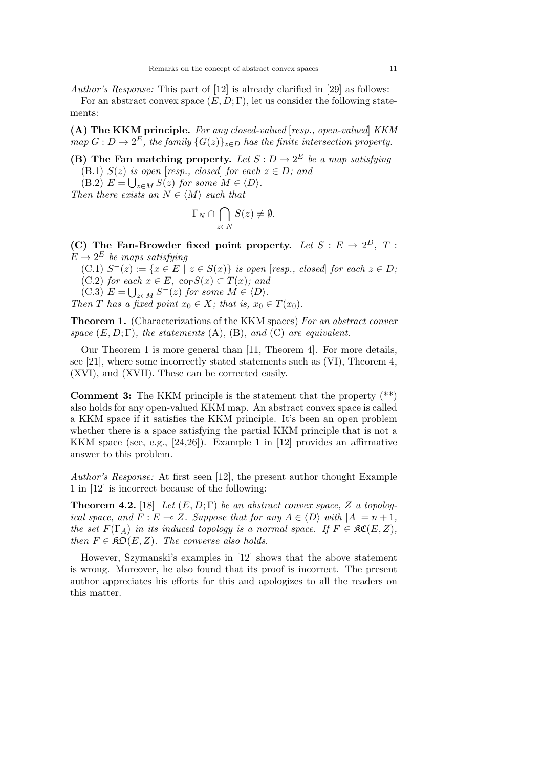*Author's Response:* This part of [12] is already clarified in [29] as follows:

For an abstract convex space  $(E, D; \Gamma)$ , let us consider the following statements:

**(A) The KKM principle.** *For any closed-valued* [*resp., open-valued*] *KKM*  $map\ G: D \to 2^E$ , the family  $\{G(z)\}_{z \in D}$  has the finite intersection property.

**(B)** The Fan matching property. Let  $S: D \to 2^E$  be a map satisfying (B.1)  $S(z)$  *is open* [*resp., closed*] *for each*  $z \in D$ *; and* 

 $(E.2)$   $E = \bigcup_{z \in M} S(z)$  for some  $M \in \langle D \rangle$ .

*Then there exists an*  $N \in \langle M \rangle$  *such that* 

$$
\Gamma_N \cap \bigcap_{z \in N} S(z) \neq \emptyset.
$$

**(C)** The Fan-Browder fixed point property. Let  $S : E \to 2^D$ , T:  $E \rightarrow 2^E$  *be maps satisfying* 

 $(C.1)$   $S^{-}(z) := \{x \in E \mid z \in S(x)\}$  is open [resp., closed] for each  $z \in D$ ;  $(C.2)$  *for each*  $x \in E$ ,  $\text{co}_{\Gamma}S(x) \subset T(x)$ *; and* 

 $(C.3)$   $E = \bigcup_{z \in M} S^{-}(z)$  for some  $M \in \langle D \rangle$ .

*Then T has a fixed point*  $x_0 \in X$ *; that is,*  $x_0 \in T(x_0)$ *.* 

**Theorem 1.** (Characterizations of the KKM spaces) *For an abstract convex space*  $(E, D; \Gamma)$ *, the statements*  $(A)$ *,*  $(B)$ *, and*  $(C)$  *are equivalent.* 

Our Theorem 1 is more general than [11, Theorem 4]. For more details, see [21], where some incorrectly stated statements such as (VI), Theorem 4, (XVI), and (XVII). These can be corrected easily.

**Comment 3:** The KKM principle is the statement that the property (\*\*) also holds for any open-valued KKM map. An abstract convex space is called a KKM space if it satisfies the KKM principle. It's been an open problem whether there is a space satisfying the partial KKM principle that is not a KKM space (see, e.g., [24,26]). Example 1 in [12] provides an affirmative answer to this problem.

*Author's Response:* At first seen [12], the present author thought Example 1 in [12] is incorrect because of the following:

**Theorem 4.2.** [18] *Let*  $(E, D; \Gamma)$  *be an abstract convex space,*  $Z$  *a topological space, and*  $F: E \to Z$ *. Suppose that for any*  $A \in \langle D \rangle$  *with*  $|A| = n + 1$ *, the set*  $F(\Gamma_A)$  *in its induced topology is a normal space. If*  $F \in \mathfrak{RC}(E, Z)$ , *then*  $F \in \mathfrak{RO}(E, Z)$ *. The converse also holds.* 

However, Szymanski's examples in [12] shows that the above statement is wrong. Moreover, he also found that its proof is incorrect. The present author appreciates his efforts for this and apologizes to all the readers on this matter.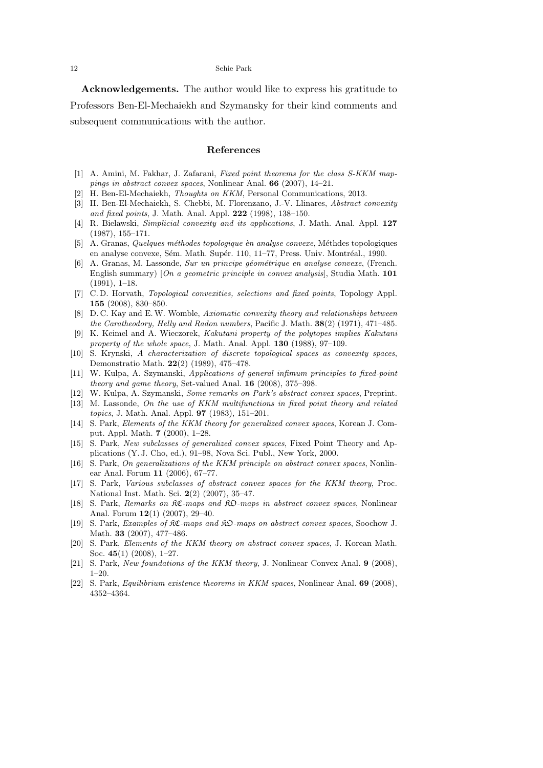**Acknowledgements.** The author would like to express his gratitude to Professors Ben-El-Mechaiekh and Szymansky for their kind comments and subsequent communications with the author.

#### **References**

- [1] A. Amini, M. Fakhar, J. Zafarani, *Fixed point theorems for the class S-KKM mappings in abstract convex spaces*, Nonlinear Anal. **66** (2007), 14–21.
- H. Ben-El-Mechaiekh, *Thoughts on KKM*, Personal Communications, 2013.
- [3] H. Ben-El-Mechaiekh, S. Chebbi, M. Florenzano, J.-V. Llinares, *Abstract convexity and fixed points*, J. Math. Anal. Appl. **222** (1998), 138–150.
- [4] R. Bielawski, *Simplicial convexity and its applications*, J. Math. Anal. Appl. **127** (1987), 155–171.
- [5] A. Granas, *Quelques m´ethodes topologique `en analyse convexe*, M´ethdes topologiques en analyse convexe, Sém. Math. Supér. 110, 11–77, Press. Univ. Montréal., 1990.
- [6] A. Granas, M. Lassonde, *Sur un principe g´eom´etrique en analyse convexe*, (French. English summary) [*On a geometric principle in convex analysis*], Studia Math. **101** (1991), 1–18.
- [7] C. D. Horvath, *Topological convexities, selections and fixed points*, Topology Appl. **155** (2008), 830–850.
- [8] D. C. Kay and E.W. Womble, *Axiomatic convexity theory and relationships between the Caratheodory, Helly and Radon numbers*, Pacific J. Math. **38**(2) (1971), 471–485.
- [9] K. Keimel and A. Wieczorek, *Kakutani property of the polytopes implies Kakutani property of the whole space*, J. Math. Anal. Appl. **130** (1988), 97–109.
- [10] S. Krynski, *A characterization of discrete topological spaces as convexity spaces*, Demonstratio Math. **22**(2) (1989), 475–478.
- [11] W. Kulpa, A. Szymanski, *Applications of general infimum principles to fixed-point theory and game theory*, Set-valued Anal. **16** (2008), 375–398.
- [12] W. Kulpa, A. Szymanski, *Some remarks on Park's abstract convex spaces*, Preprint.
- [13] M. Lassonde, *On the use of KKM multifunctions in fixed point theory and related topics*, J. Math. Anal. Appl. **97** (1983), 151–201.
- [14] S. Park, *Elements of the KKM theory for generalized convex spaces*, Korean J. Comput. Appl. Math. **7** (2000), 1–28.
- [15] S. Park, *New subclasses of generalized convex spaces*, Fixed Point Theory and Applications (Y. J. Cho, ed.), 91–98, Nova Sci. Publ., New York, 2000.
- [16] S. Park, *On generalizations of the KKM principle on abstract convex spaces*, Nonlinear Anal. Forum **11** (2006), 67–77.
- [17] S. Park, *Various subclasses of abstract convex spaces for the KKM theory*, Proc. National Inst. Math. Sci. **2**(2) (2007), 35–47.
- [18] S. Park, *Remarks on* KC*-maps and* KO*-maps in abstract convex spaces*, Nonlinear Anal. Forum **12**(1) (2007), 29–40.
- [19] S. Park, *Examples of* KC*-maps and* KO*-maps on abstract convex spaces*, Soochow J. Math. **33** (2007), 477–486.
- [20] S. Park, *Elements of the KKM theory on abstract convex spaces*, J. Korean Math. Soc. **45**(1) (2008), 1–27.
- [21] S. Park, *New foundations of the KKM theory*, J. Nonlinear Convex Anal. **9** (2008), 1–20.
- [22] S. Park, *Equilibrium existence theorems in KKM spaces*, Nonlinear Anal. **69** (2008), 4352–4364.